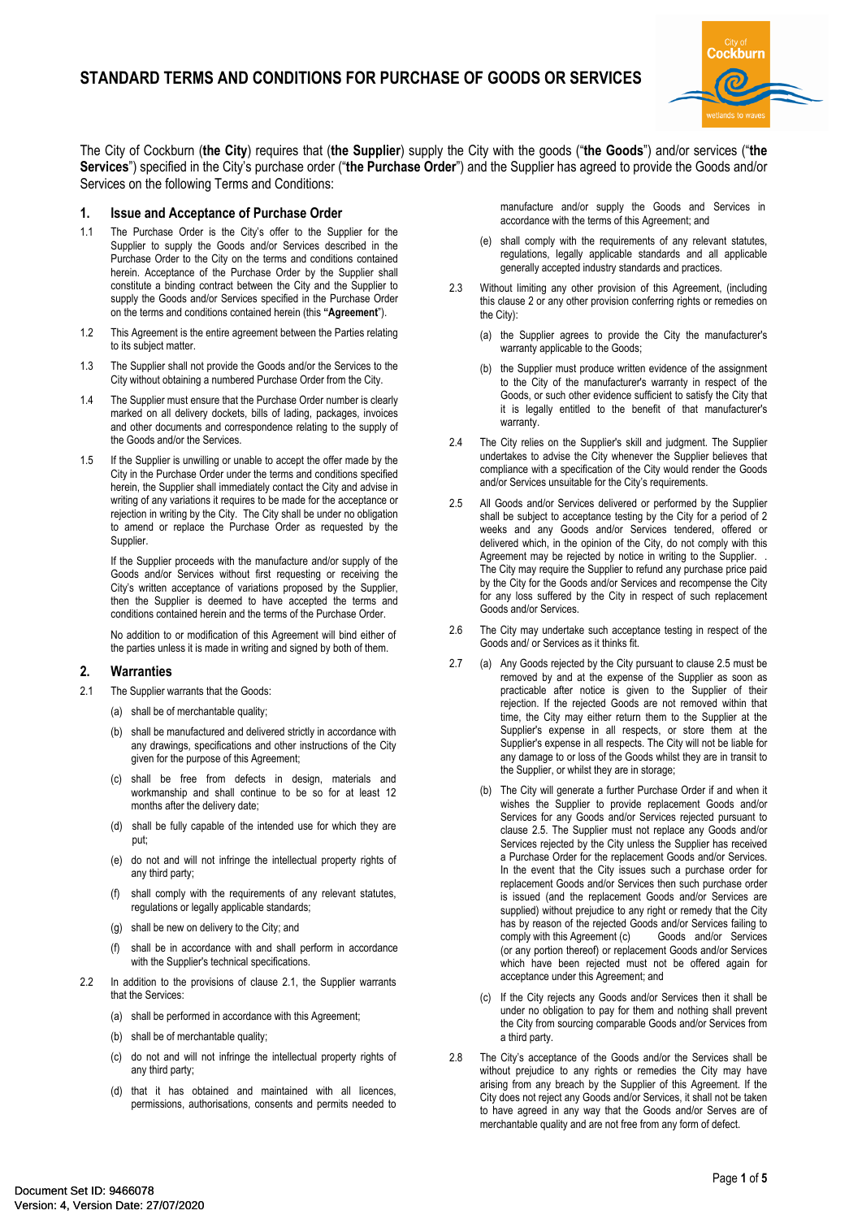

The City of Cockburn (**the City**) requires that (**the Supplier**) supply the City with the goods ("**the Goods**") and/or services ("**the Services**") specified in the City's purchase order ("**the Purchase Order**") and the Supplier has agreed to provide the Goods and/or Services on the following Terms and Conditions:

## **1. Issue and Acceptance of Purchase Order**

- 1.1 The Purchase Order is the City's offer to the Supplier for the Supplier to supply the Goods and/or Services described in the Purchase Order to the City on the terms and conditions contained herein. Acceptance of the Purchase Order by the Supplier shall constitute a binding contract between the City and the Supplier to supply the Goods and/or Services specified in the Purchase Order on the terms and conditions contained herein (this **"Agreement**").
- 1.2 This Agreement is the entire agreement between the Parties relating to its subject matter.
- 1.3 The Supplier shall not provide the Goods and/or the Services to the City without obtaining a numbered Purchase Order from the City.
- 1.4 The Supplier must ensure that the Purchase Order number is clearly marked on all delivery dockets, bills of lading, packages, invoices and other documents and correspondence relating to the supply of the Goods and/or the Services.
- 1.5 If the Supplier is unwilling or unable to accept the offer made by the City in the Purchase Order under the terms and conditions specified herein, the Supplier shall immediately contact the City and advise in writing of any variations it requires to be made for the acceptance or rejection in writing by the City. The City shall be under no obligation to amend or replace the Purchase Order as requested by the Supplier.

If the Supplier proceeds with the manufacture and/or supply of the Goods and/or Services without first requesting or receiving the City's written acceptance of variations proposed by the Supplier, then the Supplier is deemed to have accepted the terms and conditions contained herein and the terms of the Purchase Order.

No addition to or modification of this Agreement will bind either of the parties unless it is made in writing and signed by both of them.

# **2. Warranties**

- 2.1 The Supplier warrants that the Goods:
	- (a) shall be of merchantable quality;
	- (b) shall be manufactured and delivered strictly in accordance with any drawings, specifications and other instructions of the City given for the purpose of this Agreement;
	- (c) shall be free from defects in design, materials and workmanship and shall continue to be so for at least 12 months after the delivery date;
	- (d) shall be fully capable of the intended use for which they are put;
	- (e) do not and will not infringe the intellectual property rights of any third party;
	- (f) shall comply with the requirements of any relevant statutes, regulations or legally applicable standards;
	- (g) shall be new on delivery to the City; and
	- shall be in accordance with and shall perform in accordance with the Supplier's technical specifications.
- 2.2 In addition to the provisions of clause 2.1, the Supplier warrants that the Services:
	- (a) shall be performed in accordance with this Agreement;
	- (b) shall be of merchantable quality;
	- (c) do not and will not infringe the intellectual property rights of any third party;
	- (d) that it has obtained and maintained with all licences, permissions, authorisations, consents and permits needed to

manufacture and/or supply the Goods and Services in accordance with the terms of this Agreement; and

- (e) shall comply with the requirements of any relevant statutes, regulations, legally applicable standards and all applicable generally accepted industry standards and practices.
- 2.3 Without limiting any other provision of this Agreement, (including this clause 2 or any other provision conferring rights or remedies on the City):
	- (a) the Supplier agrees to provide the City the manufacturer's warranty applicable to the Goods;
	- (b) the Supplier must produce written evidence of the assignment to the City of the manufacturer's warranty in respect of the Goods, or such other evidence sufficient to satisfy the City that it is legally entitled to the benefit of that manufacturer's warranty.
- 2.4 The City relies on the Supplier's skill and judgment. The Supplier undertakes to advise the City whenever the Supplier believes that compliance with a specification of the City would render the Goods and/or Services unsuitable for the City's requirements.
- 2.5 All Goods and/or Services delivered or performed by the Supplier shall be subject to acceptance testing by the City for a period of 2 weeks and any Goods and/or Services tendered, offered or delivered which, in the opinion of the City, do not comply with this Agreement may be rejected by notice in writing to the Supplier. The City may require the Supplier to refund any purchase price paid by the City for the Goods and/or Services and recompense the City for any loss suffered by the City in respect of such replacement Goods and/or Services.
- 2.6 The City may undertake such acceptance testing in respect of the Goods and/ or Services as it thinks fit.
- 2.7 (a) Any Goods rejected by the City pursuant to clause 2.5 must be removed by and at the expense of the Supplier as soon as practicable after notice is given to the Supplier of their rejection. If the rejected Goods are not removed within that time, the City may either return them to the Supplier at the Supplier's expense in all respects, or store them at the Supplier's expense in all respects. The City will not be liable for any damage to or loss of the Goods whilst they are in transit to the Supplier, or whilst they are in storage;
	- (b) The City will generate a further Purchase Order if and when it wishes the Supplier to provide replacement Goods and/or Services for any Goods and/or Services rejected pursuant to clause 2.5. The Supplier must not replace any Goods and/or Services rejected by the City unless the Supplier has received a Purchase Order for the replacement Goods and/or Services. In the event that the City issues such a purchase order for replacement Goods and/or Services then such purchase order is issued (and the replacement Goods and/or Services are supplied) without prejudice to any right or remedy that the City has by reason of the rejected Goods and/or Services failing to comply with this Agreement (c) Goods and/or Services (or any portion thereof) or replacement Goods and/or Services which have been rejected must not be offered again for acceptance under this Agreement; and
	- (c) If the City rejects any Goods and/or Services then it shall be under no obligation to pay for them and nothing shall prevent the City from sourcing comparable Goods and/or Services from a third party.
- 2.8 The City's acceptance of the Goods and/or the Services shall be without prejudice to any rights or remedies the City may have arising from any breach by the Supplier of this Agreement. If the City does not reject any Goods and/or Services, it shall not be taken to have agreed in any way that the Goods and/or Serves are of merchantable quality and are not free from any form of defect.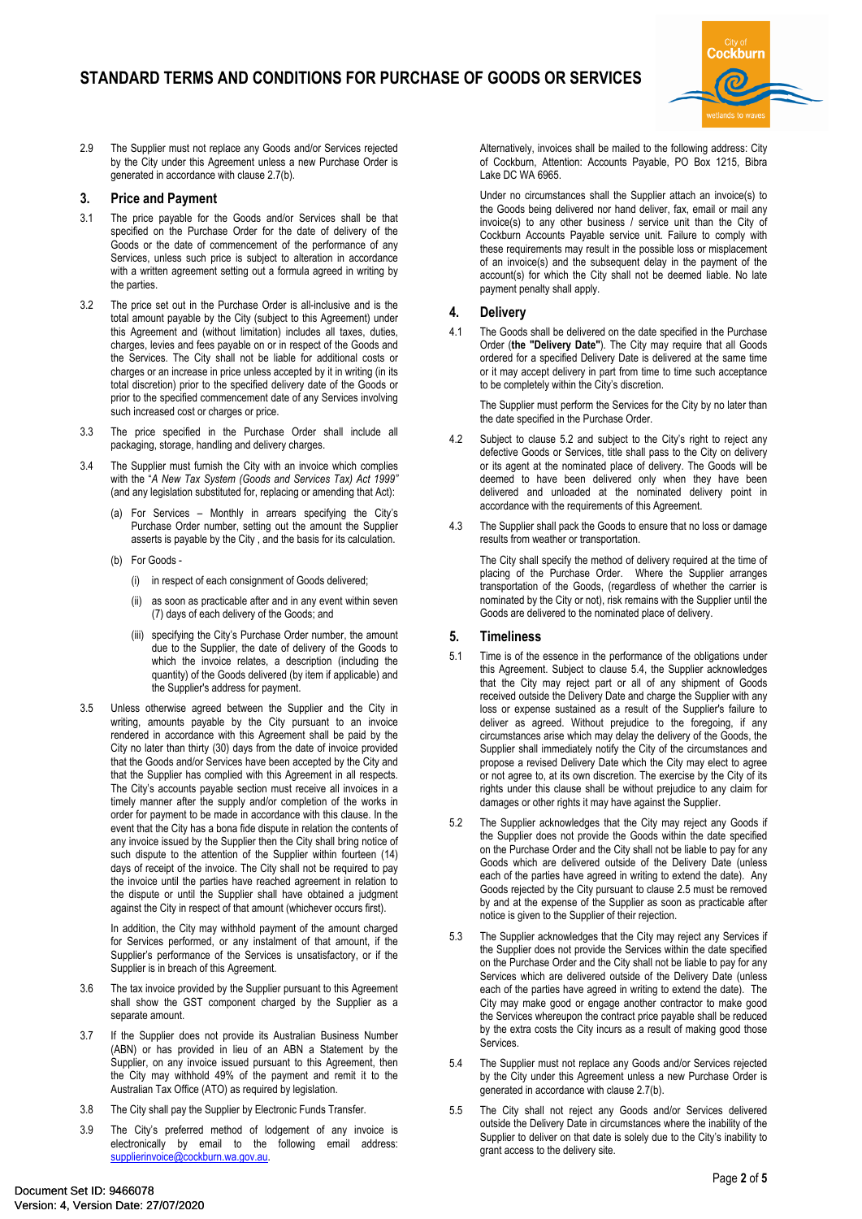

2.9 The Supplier must not replace any Goods and/or Services rejected by the City under this Agreement unless a new Purchase Order is generated in accordance with clause 2.7(b).

#### **3. Price and Payment**

- 3.1 The price payable for the Goods and/or Services shall be that specified on the Purchase Order for the date of delivery of the Goods or the date of commencement of the performance of any Services, unless such price is subject to alteration in accordance with a written agreement setting out a formula agreed in writing by the parties.
- 3.2 The price set out in the Purchase Order is all-inclusive and is the total amount payable by the City (subject to this Agreement) under this Agreement and (without limitation) includes all taxes, duties, charges, levies and fees payable on or in respect of the Goods and the Services. The City shall not be liable for additional costs or charges or an increase in price unless accepted by it in writing (in its total discretion) prior to the specified delivery date of the Goods or prior to the specified commencement date of any Services involving such increased cost or charges or price.
- 3.3 The price specified in the Purchase Order shall include all packaging, storage, handling and delivery charges.
- 3.4 The Supplier must furnish the City with an invoice which complies with the "*A New Tax System (Goods and Services Tax) Act 1999"*  (and any legislation substituted for, replacing or amending that Act):
	- (a) For Services Monthly in arrears specifying the City's Purchase Order number, setting out the amount the Supplier asserts is payable by the City , and the basis for its calculation.
	- (b) For Goods
		- (i) in respect of each consignment of Goods delivered;
		- (ii) as soon as practicable after and in any event within seven (7) days of each delivery of the Goods; and
		- (iii) specifying the City's Purchase Order number, the amount due to the Supplier, the date of delivery of the Goods to which the invoice relates, a description (including the quantity) of the Goods delivered (by item if applicable) and the Supplier's address for payment.
- 3.5 Unless otherwise agreed between the Supplier and the City in writing, amounts payable by the City pursuant to an invoice rendered in accordance with this Agreement shall be paid by the City no later than thirty (30) days from the date of invoice provided that the Goods and/or Services have been accepted by the City and that the Supplier has complied with this Agreement in all respects. The City's accounts payable section must receive all invoices in a timely manner after the supply and/or completion of the works in order for payment to be made in accordance with this clause. In the event that the City has a bona fide dispute in relation the contents of any invoice issued by the Supplier then the City shall bring notice of such dispute to the attention of the Supplier within fourteen (14) days of receipt of the invoice. The City shall not be required to pay the invoice until the parties have reached agreement in relation to the dispute or until the Supplier shall have obtained a judgment against the City in respect of that amount (whichever occurs first).

In addition, the City may withhold payment of the amount charged for Services performed, or any instalment of that amount, if the Supplier's performance of the Services is unsatisfactory, or if the Supplier is in breach of this Agreement.

- 3.6 The tax invoice provided by the Supplier pursuant to this Agreement shall show the GST component charged by the Supplier as a separate amount.
- 3.7 If the Supplier does not provide its Australian Business Number (ABN) or has provided in lieu of an ABN a Statement by the Supplier, on any invoice issued pursuant to this Agreement, then the City may withhold 49% of the payment and remit it to the Australian Tax Office (ATO) as required by legislation.
- 3.8 The City shall pay the Supplier by Electronic Funds Transfer.
- 3.9 The City's preferred method of lodgement of any invoice is electronically by email to the following email address: [supplierinvoice@cockburn.wa.gov.au](mailto:supplierinvoice@cockburn.wa.gov.au).

Alternatively, invoices shall be mailed to the following address: City of Cockburn, Attention: Accounts Payable, PO Box 1215, Bibra Lake DC WA 6965.

Under no circumstances shall the Supplier attach an invoice(s) to the Goods being delivered nor hand deliver, fax, email or mail any invoice(s) to any other business / service unit than the City of Cockburn Accounts Payable service unit. Failure to comply with these requirements may result in the possible loss or misplacement of an invoice(s) and the subsequent delay in the payment of the account(s) for which the City shall not be deemed liable. No late payment penalty shall apply.

# **4. Delivery**

4.1 The Goods shall be delivered on the date specified in the Purchase Order (**the "Delivery Date"**). The City may require that all Goods ordered for a specified Delivery Date is delivered at the same time or it may accept delivery in part from time to time such acceptance to be completely within the City's discretion.

The Supplier must perform the Services for the City by no later than the date specified in the Purchase Order.

- 4.2 Subject to clause 5.2 and subject to the City's right to reject any defective Goods or Services, title shall pass to the City on delivery or its agent at the nominated place of delivery. The Goods will be deemed to have been delivered only when they have been delivered and unloaded at the nominated delivery point in accordance with the requirements of this Agreement.
- 4.3 The Supplier shall pack the Goods to ensure that no loss or damage results from weather or transportation.

The City shall specify the method of delivery required at the time of placing of the Purchase Order. Where the Supplier arranges transportation of the Goods, (regardless of whether the carrier is nominated by the City or not), risk remains with the Supplier until the Goods are delivered to the nominated place of delivery.

## **5. Timeliness**

- 5.1 Time is of the essence in the performance of the obligations under this Agreement. Subject to clause 5.4, the Supplier acknowledges that the City may reject part or all of any shipment of Goods received outside the Delivery Date and charge the Supplier with any loss or expense sustained as a result of the Supplier's failure to deliver as agreed. Without prejudice to the foregoing, if any circumstances arise which may delay the delivery of the Goods, the Supplier shall immediately notify the City of the circumstances and propose a revised Delivery Date which the City may elect to agree or not agree to, at its own discretion. The exercise by the City of its rights under this clause shall be without prejudice to any claim for damages or other rights it may have against the Supplier.
- 5.2 The Supplier acknowledges that the City may reject any Goods if the Supplier does not provide the Goods within the date specified on the Purchase Order and the City shall not be liable to pay for any Goods which are delivered outside of the Delivery Date (unless each of the parties have agreed in writing to extend the date). Any Goods rejected by the City pursuant to clause 2.5 must be removed by and at the expense of the Supplier as soon as practicable after notice is given to the Supplier of their rejection.
- 5.3 The Supplier acknowledges that the City may reject any Services if the Supplier does not provide the Services within the date specified on the Purchase Order and the City shall not be liable to pay for any Services which are delivered outside of the Delivery Date (unless each of the parties have agreed in writing to extend the date). The City may make good or engage another contractor to make good the Services whereupon the contract price payable shall be reduced by the extra costs the City incurs as a result of making good those Services.
- 5.4 The Supplier must not replace any Goods and/or Services rejected by the City under this Agreement unless a new Purchase Order is generated in accordance with clause 2.7(b).
- 5.5 The City shall not reject any Goods and/or Services delivered outside the Delivery Date in circumstances where the inability of the Supplier to deliver on that date is solely due to the City's inability to grant access to the delivery site.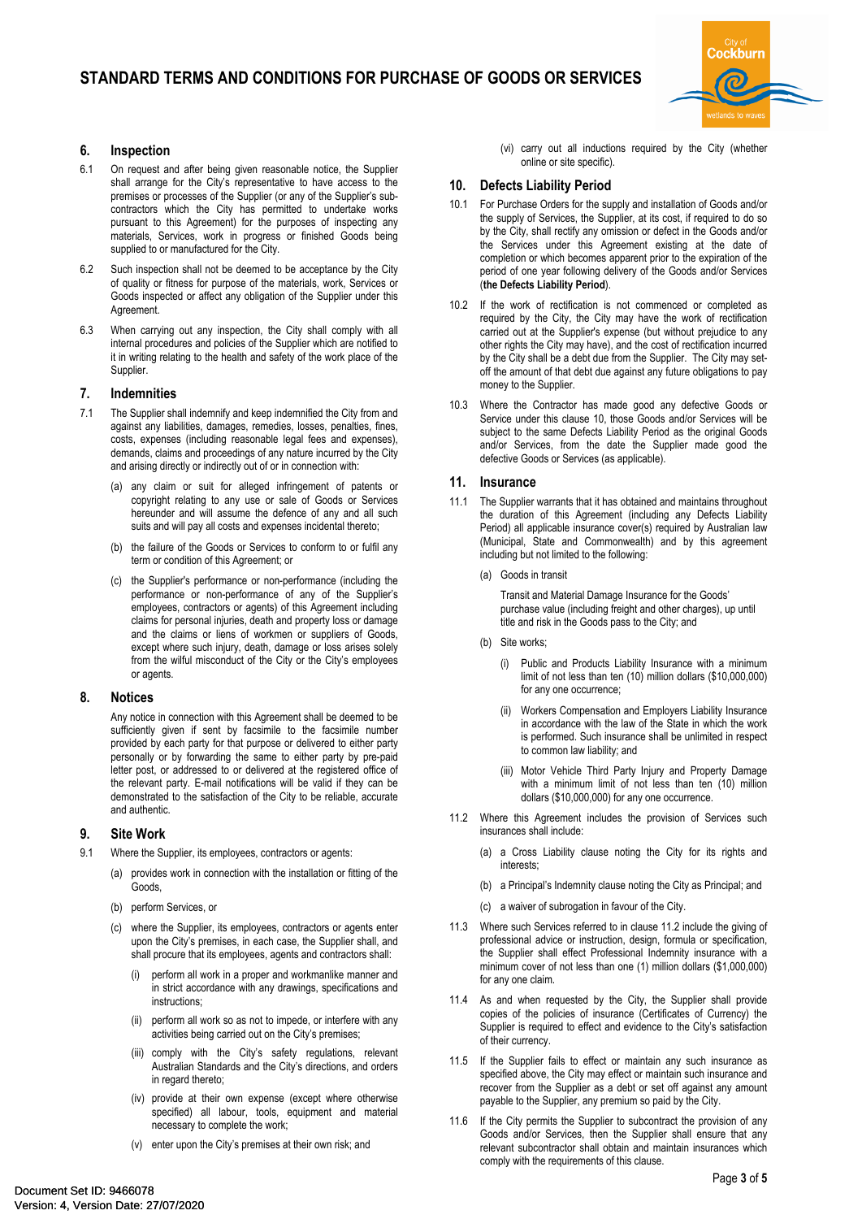

# **6. Inspection**

- 6.1 On request and after being given reasonable notice, the Supplier shall arrange for the City's representative to have access to the premises or processes of the Supplier (or any of the Supplier's subcontractors which the City has permitted to undertake works pursuant to this Agreement) for the purposes of inspecting any materials, Services, work in progress or finished Goods being supplied to or manufactured for the City.
- 6.2 Such inspection shall not be deemed to be acceptance by the City of quality or fitness for purpose of the materials, work, Services or Goods inspected or affect any obligation of the Supplier under this Agreement.
- 6.3 When carrying out any inspection, the City shall comply with all internal procedures and policies of the Supplier which are notified to it in writing relating to the health and safety of the work place of the Supplier.

#### **7. Indemnities**

- 7.1 The Supplier shall indemnify and keep indemnified the City from and against any liabilities, damages, remedies, losses, penalties, fines, costs, expenses (including reasonable legal fees and expenses), demands, claims and proceedings of any nature incurred by the City and arising directly or indirectly out of or in connection with:
	- any claim or suit for alleged infringement of patents or copyright relating to any use or sale of Goods or Services hereunder and will assume the defence of any and all such suits and will pay all costs and expenses incidental thereto;
	- (b) the failure of the Goods or Services to conform to or fulfil any term or condition of this Agreement; or
	- (c) the Supplier's performance or non-performance (including the performance or non-performance of any of the Supplier's employees, contractors or agents) of this Agreement including claims for personal injuries, death and property loss or damage and the claims or liens of workmen or suppliers of Goods, except where such injury, death, damage or loss arises solely from the wilful misconduct of the City or the City's employees or agents.

#### **8. Notices**

Any notice in connection with this Agreement shall be deemed to be sufficiently given if sent by facsimile to the facsimile number provided by each party for that purpose or delivered to either party personally or by forwarding the same to either party by pre-paid letter post, or addressed to or delivered at the registered office of the relevant party. E-mail notifications will be valid if they can be demonstrated to the satisfaction of the City to be reliable, accurate and authentic.

## **9. Site Work**

- 9.1 Where the Supplier, its employees, contractors or agents:
	- (a) provides work in connection with the installation or fitting of the Goods,
	- (b) perform Services, or
	- (c) where the Supplier, its employees, contractors or agents enter upon the City's premises, in each case, the Supplier shall, and shall procure that its employees, agents and contractors shall:
		- (i) perform all work in a proper and workmanlike manner and in strict accordance with any drawings, specifications and instructions;
		- (ii) perform all work so as not to impede, or interfere with any activities being carried out on the City's premises;
		- (iii) comply with the City's safety regulations, relevant Australian Standards and the City's directions, and orders in regard thereto;
		- (iv) provide at their own expense (except where otherwise specified) all labour, tools, equipment and material necessary to complete the work;
		- (v) enter upon the City's premises at their own risk; and

(vi) carry out all inductions required by the City (whether online or site specific).

## **10. Defects Liability Period**

- 10.1 For Purchase Orders for the supply and installation of Goods and/or the supply of Services, the Supplier, at its cost, if required to do so by the City, shall rectify any omission or defect in the Goods and/or the Services under this Agreement existing at the date of completion or which becomes apparent prior to the expiration of the period of one year following delivery of the Goods and/or Services (**the Defects Liability Period**).
- 10.2 If the work of rectification is not commenced or completed as required by the City, the City may have the work of rectification carried out at the Supplier's expense (but without prejudice to any other rights the City may have), and the cost of rectification incurred by the City shall be a debt due from the Supplier. The City may setoff the amount of that debt due against any future obligations to pay money to the Supplier.
- 10.3 Where the Contractor has made good any defective Goods or Service under this clause 10, those Goods and/or Services will be subject to the same Defects Liability Period as the original Goods and/or Services, from the date the Supplier made good the defective Goods or Services (as applicable).

#### **11. Insurance**

- 11.1 The Supplier warrants that it has obtained and maintains throughout the duration of this Agreement (including any Defects Liability Period) all applicable insurance cover(s) required by Australian law (Municipal, State and Commonwealth) and by this agreement including but not limited to the following:
	- (a) Goods in transit

Transit and Material Damage Insurance for the Goods' purchase value (including freight and other charges), up until title and risk in the Goods pass to the City; and

- (b) Site works:
	- (i) Public and Products Liability Insurance with a minimum limit of not less than ten (10) million dollars (\$10,000,000) for any one occurrence;
	- (ii) Workers Compensation and Employers Liability Insurance in accordance with the law of the State in which the work is performed. Such insurance shall be unlimited in respect to common law liability; and
	- (iii) Motor Vehicle Third Party Injury and Property Damage with a minimum limit of not less than ten (10) million dollars (\$10,000,000) for any one occurrence.
- 11.2 Where this Agreement includes the provision of Services such insurances shall include:
	- (a) a Cross Liability clause noting the City for its rights and interests;
	- (b) a Principal's Indemnity clause noting the City as Principal; and
	- (c) a waiver of subrogation in favour of the City.
- 11.3 Where such Services referred to in clause 11.2 include the giving of professional advice or instruction, design, formula or specification, the Supplier shall effect Professional Indemnity insurance with a minimum cover of not less than one (1) million dollars (\$1,000,000) for any one claim.
- 11.4 As and when requested by the City, the Supplier shall provide copies of the policies of insurance (Certificates of Currency) the Supplier is required to effect and evidence to the City's satisfaction of their currency.
- 11.5 If the Supplier fails to effect or maintain any such insurance as specified above, the City may effect or maintain such insurance and recover from the Supplier as a debt or set off against any amount payable to the Supplier, any premium so paid by the City.
- 11.6 If the City permits the Supplier to subcontract the provision of any Goods and/or Services, then the Supplier shall ensure that any relevant subcontractor shall obtain and maintain insurances which comply with the requirements of this clause.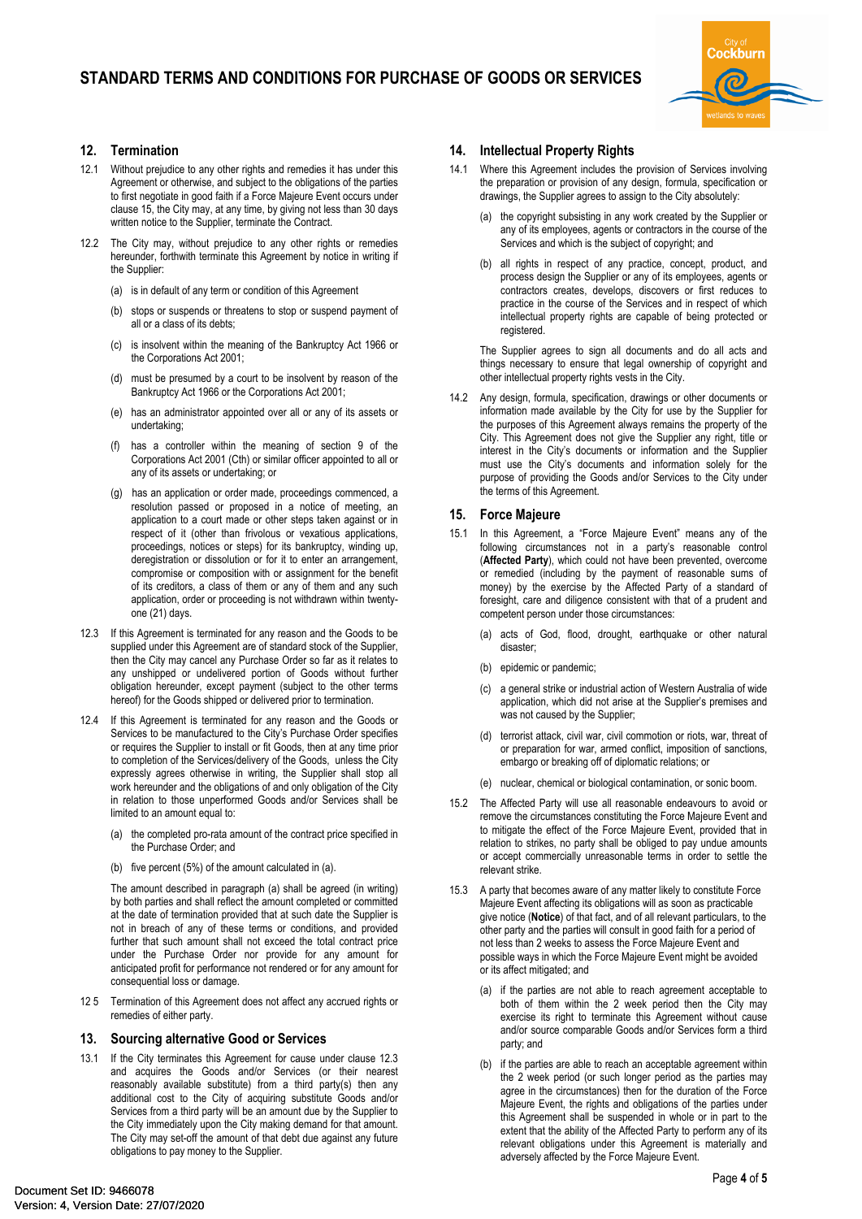

# **12. Termination**

- 12.1 Without prejudice to any other rights and remedies it has under this Agreement or otherwise, and subject to the obligations of the parties to first negotiate in good faith if a Force Majeure Event occurs under clause 15, the City may, at any time, by giving not less than 30 days written notice to the Supplier, terminate the Contract.
- 12.2 The City may, without prejudice to any other rights or remedies hereunder, forthwith terminate this Agreement by notice in writing if the Supplier:
	- (a) is in default of any term or condition of this Agreement
	- (b) stops or suspends or threatens to stop or suspend payment of all or a class of its debts;
	- (c) is insolvent within the meaning of the Bankruptcy Act 1966 or the Corporations Act 2001;
	- (d) must be presumed by a court to be insolvent by reason of the Bankruptcy Act 1966 or the Corporations Act 2001;
	- (e) has an administrator appointed over all or any of its assets or undertaking;
	- has a controller within the meaning of section 9 of the Corporations Act 2001 (Cth) or similar officer appointed to all or any of its assets or undertaking; or
	- (g) has an application or order made, proceedings commenced, a resolution passed or proposed in a notice of meeting, an application to a court made or other steps taken against or in respect of it (other than frivolous or vexatious applications, proceedings, notices or steps) for its bankruptcy, winding up, deregistration or dissolution or for it to enter an arrangement, compromise or composition with or assignment for the benefit of its creditors, a class of them or any of them and any such application, order or proceeding is not withdrawn within twentyone (21) days.
- 12.3 If this Agreement is terminated for any reason and the Goods to be supplied under this Agreement are of standard stock of the Supplier, then the City may cancel any Purchase Order so far as it relates to any unshipped or undelivered portion of Goods without further obligation hereunder, except payment (subject to the other terms hereof) for the Goods shipped or delivered prior to termination.
- 12.4 If this Agreement is terminated for any reason and the Goods or Services to be manufactured to the City's Purchase Order specifies or requires the Supplier to install or fit Goods, then at any time prior to completion of the Services/delivery of the Goods, unless the City expressly agrees otherwise in writing, the Supplier shall stop all work hereunder and the obligations of and only obligation of the City in relation to those unperformed Goods and/or Services shall be limited to an amount equal to:
	- (a) the completed pro-rata amount of the contract price specified in the Purchase Order; and
	- (b) five percent (5%) of the amount calculated in (a).

The amount described in paragraph (a) shall be agreed (in writing) by both parties and shall reflect the amount completed or committed at the date of termination provided that at such date the Supplier is not in breach of any of these terms or conditions, and provided further that such amount shall not exceed the total contract price under the Purchase Order nor provide for any amount for anticipated profit for performance not rendered or for any amount for consequential loss or damage.

12 5 Termination of this Agreement does not affect any accrued rights or remedies of either party.

#### **13. Sourcing alternative Good or Services**

13.1 If the City terminates this Agreement for cause under clause 12.3 and acquires the Goods and/or Services (or their nearest reasonably available substitute) from a third party(s) then any additional cost to the City of acquiring substitute Goods and/or Services from a third party will be an amount due by the Supplier to the City immediately upon the City making demand for that amount. The City may set-off the amount of that debt due against any future obligations to pay money to the Supplier.

# **14. Intellectual Property Rights**

- 14.1 Where this Agreement includes the provision of Services involving the preparation or provision of any design, formula, specification or drawings, the Supplier agrees to assign to the City absolutely:
	- (a) the copyright subsisting in any work created by the Supplier or any of its employees, agents or contractors in the course of the Services and which is the subject of copyright; and
	- (b) all rights in respect of any practice, concept, product, and process design the Supplier or any of its employees, agents or contractors creates, develops, discovers or first reduces to practice in the course of the Services and in respect of which intellectual property rights are capable of being protected or registered.

The Supplier agrees to sign all documents and do all acts and things necessary to ensure that legal ownership of copyright and other intellectual property rights vests in the City.

14.2 Any design, formula, specification, drawings or other documents or information made available by the City for use by the Supplier for the purposes of this Agreement always remains the property of the City. This Agreement does not give the Supplier any right, title or interest in the City's documents or information and the Supplier must use the City's documents and information solely for the purpose of providing the Goods and/or Services to the City under the terms of this Agreement.

## **15. Force Majeure**

- 15.1 In this Agreement, a "Force Majeure Event" means any of the following circumstances not in a party's reasonable control (**Affected Party**), which could not have been prevented, overcome or remedied (including by the payment of reasonable sums of money) by the exercise by the Affected Party of a standard of foresight, care and diligence consistent with that of a prudent and competent person under those circumstances:
	- (a) acts of God, flood, drought, earthquake or other natural disaster;
	- (b) epidemic or pandemic;
	- (c) a general strike or industrial action of Western Australia of wide application, which did not arise at the Supplier's premises and was not caused by the Supplier;
	- (d) terrorist attack, civil war, civil commotion or riots, war, threat of or preparation for war, armed conflict, imposition of sanctions, embargo or breaking off of diplomatic relations; or
	- (e) nuclear, chemical or biological contamination, or sonic boom.
- 15.2 The Affected Party will use all reasonable endeavours to avoid or remove the circumstances constituting the Force Majeure Event and to mitigate the effect of the Force Majeure Event, provided that in relation to strikes, no party shall be obliged to pay undue amounts or accept commercially unreasonable terms in order to settle the relevant strike.
- 15.3 A party that becomes aware of any matter likely to constitute Force Majeure Event affecting its obligations will as soon as practicable give notice (**Notice**) of that fact, and of all relevant particulars, to the other party and the parties will consult in good faith for a period of not less than 2 weeks to assess the Force Majeure Event and possible ways in which the Force Majeure Event might be avoided or its affect mitigated; and
	- (a) if the parties are not able to reach agreement acceptable to both of them within the 2 week period then the City may exercise its right to terminate this Agreement without cause and/or source comparable Goods and/or Services form a third party; and
	- (b) if the parties are able to reach an acceptable agreement within the 2 week period (or such longer period as the parties may agree in the circumstances) then for the duration of the Force Majeure Event, the rights and obligations of the parties under this Agreement shall be suspended in whole or in part to the extent that the ability of the Affected Party to perform any of its relevant obligations under this Agreement is materially and adversely affected by the Force Majeure Event.